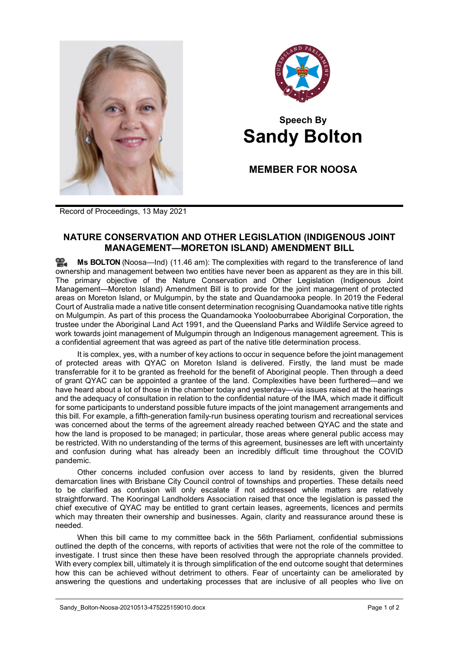



## **Speech By Sandy Bolton**

**MEMBER FOR NOOSA**

Record of Proceedings, 13 May 2021

## **NATURE CONSERVATION AND OTHER LEGISLATION (INDIGENOUS JOINT MANAGEMENT—MORETON ISLAND) AMENDMENT BILL**

≌. **Ms [BOLTON](http://www.parliament.qld.gov.au/docs/find.aspx?id=0Mba20210513_114640)** (Noosa—Ind) (11.46 am): The complexities with regard to the transference of land ownership and management between two entities have never been as apparent as they are in this bill. The primary objective of the Nature Conservation and Other Legislation (Indigenous Joint Management—Moreton Island) Amendment Bill is to provide for the joint management of protected areas on Moreton Island, or Mulgumpin, by the state and Quandamooka people. In 2019 the Federal Court of Australia made a native title consent determination recognising Quandamooka native title rights on Mulgumpin. As part of this process the Quandamooka Yoolooburrabee Aboriginal Corporation, the trustee under the Aboriginal Land Act 1991, and the Queensland Parks and Wildlife Service agreed to work towards joint management of Mulgumpin through an Indigenous management agreement. This is a confidential agreement that was agreed as part of the native title determination process.

It is complex, yes, with a number of key actions to occur in sequence before the joint management of protected areas with QYAC on Moreton Island is delivered. Firstly, the land must be made transferrable for it to be granted as freehold for the benefit of Aboriginal people. Then through a deed of grant QYAC can be appointed a grantee of the land. Complexities have been furthered—and we have heard about a lot of those in the chamber today and yesterday—via issues raised at the hearings and the adequacy of consultation in relation to the confidential nature of the IMA, which made it difficult for some participants to understand possible future impacts of the joint management arrangements and this bill. For example, a fifth-generation family-run business operating tourism and recreational services was concerned about the terms of the agreement already reached between QYAC and the state and how the land is proposed to be managed; in particular, those areas where general public access may be restricted. With no understanding of the terms of this agreement, businesses are left with uncertainty and confusion during what has already been an incredibly difficult time throughout the COVID pandemic.

Other concerns included confusion over access to land by residents, given the blurred demarcation lines with Brisbane City Council control of townships and properties. These details need to be clarified as confusion will only escalate if not addressed while matters are relatively straightforward. The Kooringal Landholders Association raised that once the legislation is passed the chief executive of QYAC may be entitled to grant certain leases, agreements, licences and permits which may threaten their ownership and businesses. Again, clarity and reassurance around these is needed.

When this bill came to my committee back in the 56th Parliament, confidential submissions outlined the depth of the concerns, with reports of activities that were not the role of the committee to investigate. I trust since then these have been resolved through the appropriate channels provided. With every complex bill, ultimately it is through simplification of the end outcome sought that determines how this can be achieved without detriment to others. Fear of uncertainty can be ameliorated by answering the questions and undertaking processes that are inclusive of all peoples who live on